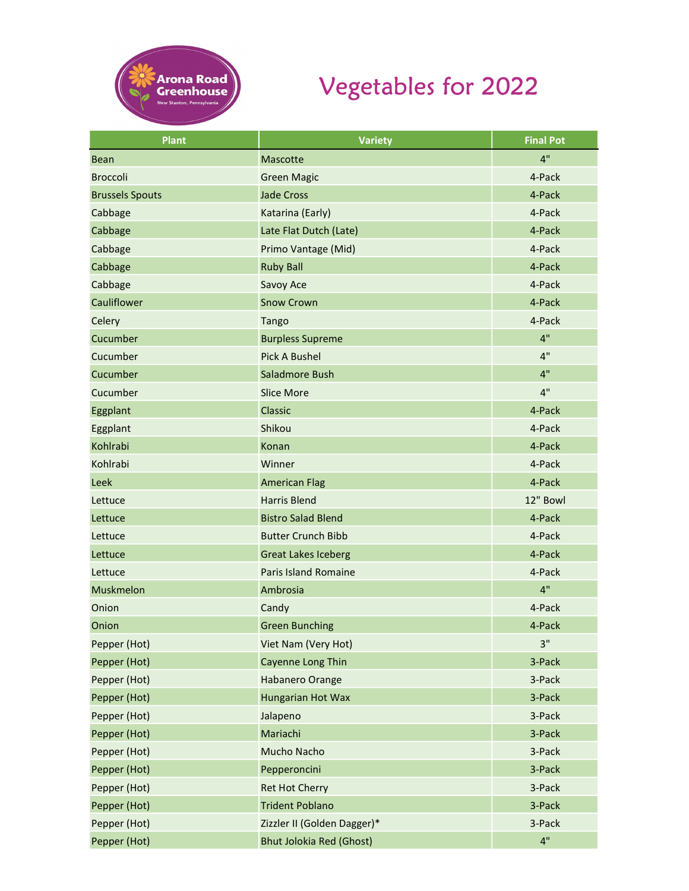

## Vegetables for 2022

| Plant                  | <b>Variety</b>                  | <b>Final Pot</b> |
|------------------------|---------------------------------|------------------|
| <b>Bean</b>            | Mascotte                        | 4"               |
| <b>Broccoli</b>        | <b>Green Magic</b>              | 4-Pack           |
| <b>Brussels Spouts</b> | <b>Jade Cross</b>               | 4-Pack           |
| Cabbage                | Katarina (Early)                | 4-Pack           |
| Cabbage                | Late Flat Dutch (Late)          | 4-Pack           |
| Cabbage                | Primo Vantage (Mid)             | 4-Pack           |
| Cabbage                | <b>Ruby Ball</b>                | 4-Pack           |
| Cabbage                | Savoy Ace                       | 4-Pack           |
| Cauliflower            | <b>Snow Crown</b>               | 4-Pack           |
| Celery                 | <b>Tango</b>                    | 4-Pack           |
| Cucumber               | <b>Burpless Supreme</b>         | 4"               |
| Cucumber               | <b>Pick A Bushel</b>            | 4"               |
| Cucumber               | Saladmore Bush                  | 4"               |
| Cucumber               | <b>Slice More</b>               | 4"               |
| Eggplant               | Classic                         | 4-Pack           |
| Eggplant               | Shikou                          | 4-Pack           |
| Kohlrabi               | Konan                           | 4-Pack           |
| Kohlrabi               | Winner                          | 4-Pack           |
| Leek                   | <b>American Flag</b>            | 4-Pack           |
| Lettuce                | <b>Harris Blend</b>             | 12" Bowl         |
| Lettuce                | <b>Bistro Salad Blend</b>       | 4-Pack           |
| Lettuce                | <b>Butter Crunch Bibb</b>       | 4-Pack           |
| Lettuce                | <b>Great Lakes Iceberg</b>      | 4-Pack           |
| Lettuce                | <b>Paris Island Romaine</b>     | 4-Pack           |
| Muskmelon              | Ambrosia                        | 4"               |
| Onion                  | Candy                           | 4-Pack           |
| Onion                  | <b>Green Bunching</b>           | 4-Pack           |
| Pepper (Hot)           | Viet Nam (Very Hot)             | 3"               |
| Pepper (Hot)           | <b>Cayenne Long Thin</b>        | 3-Pack           |
| Pepper (Hot)           | <b>Habanero Orange</b>          | 3-Pack           |
| Pepper (Hot)           | Hungarian Hot Wax               | 3-Pack           |
| Pepper (Hot)           | Jalapeno                        | 3-Pack           |
| Pepper (Hot)           | Mariachi                        | 3-Pack           |
| Pepper (Hot)           | Mucho Nacho                     | 3-Pack           |
| Pepper (Hot)           | Pepperoncini                    | 3-Pack           |
| Pepper (Hot)           | <b>Ret Hot Cherry</b>           | 3-Pack           |
| Pepper (Hot)           | <b>Trident Poblano</b>          | 3-Pack           |
| Pepper (Hot)           | Zizzler II (Golden Dagger)*     | 3-Pack           |
| Pepper (Hot)           | <b>Bhut Jolokia Red (Ghost)</b> | 4"               |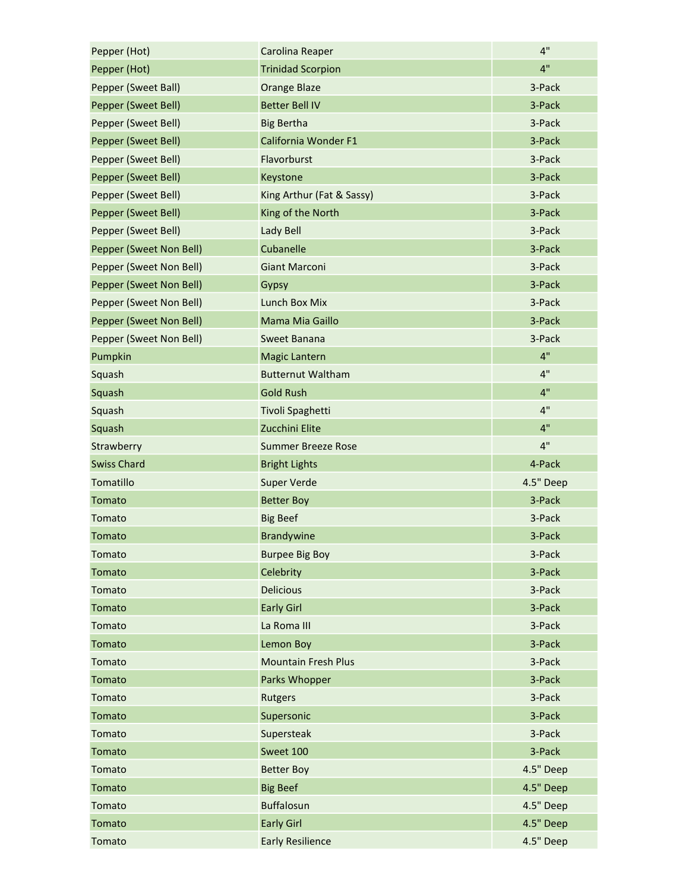| Pepper (Hot)            | Carolina Reaper            | 4"        |
|-------------------------|----------------------------|-----------|
| Pepper (Hot)            | <b>Trinidad Scorpion</b>   | 4"        |
| Pepper (Sweet Ball)     | <b>Orange Blaze</b>        | 3-Pack    |
| Pepper (Sweet Bell)     | <b>Better Bell IV</b>      | 3-Pack    |
| Pepper (Sweet Bell)     | <b>Big Bertha</b>          | 3-Pack    |
| Pepper (Sweet Bell)     | California Wonder F1       | 3-Pack    |
| Pepper (Sweet Bell)     | Flavorburst                | 3-Pack    |
| Pepper (Sweet Bell)     | Keystone                   | 3-Pack    |
| Pepper (Sweet Bell)     | King Arthur (Fat & Sassy)  | 3-Pack    |
| Pepper (Sweet Bell)     | King of the North          | 3-Pack    |
| Pepper (Sweet Bell)     | Lady Bell                  | 3-Pack    |
| Pepper (Sweet Non Bell) | Cubanelle                  | 3-Pack    |
| Pepper (Sweet Non Bell) | <b>Giant Marconi</b>       | 3-Pack    |
| Pepper (Sweet Non Bell) | Gypsy                      | 3-Pack    |
| Pepper (Sweet Non Bell) | Lunch Box Mix              | 3-Pack    |
| Pepper (Sweet Non Bell) | Mama Mia Gaillo            | 3-Pack    |
| Pepper (Sweet Non Bell) | Sweet Banana               | 3-Pack    |
| Pumpkin                 | <b>Magic Lantern</b>       | 4"        |
| Squash                  | <b>Butternut Waltham</b>   | 4"        |
| Squash                  | <b>Gold Rush</b>           | 4"        |
| Squash                  | Tivoli Spaghetti           | 4"        |
| Squash                  | Zucchini Elite             | 4"        |
| Strawberry              | <b>Summer Breeze Rose</b>  | 4"        |
| <b>Swiss Chard</b>      | <b>Bright Lights</b>       | 4-Pack    |
| Tomatillo               | <b>Super Verde</b>         | 4.5" Deep |
| Tomato                  | <b>Better Boy</b>          | 3-Pack    |
| Tomato                  | <b>Big Beef</b>            | 3-Pack    |
| Tomato                  | <b>Brandywine</b>          | 3-Pack    |
| Tomato                  | <b>Burpee Big Boy</b>      | 3-Pack    |
| Tomato                  | Celebrity                  | 3-Pack    |
| Tomato                  | <b>Delicious</b>           | 3-Pack    |
| Tomato                  | <b>Early Girl</b>          | 3-Pack    |
| Tomato                  | La Roma III                | 3-Pack    |
| Tomato                  | Lemon Boy                  | 3-Pack    |
| Tomato                  | <b>Mountain Fresh Plus</b> | 3-Pack    |
| Tomato                  | Parks Whopper              | 3-Pack    |
| Tomato                  | <b>Rutgers</b>             | 3-Pack    |
| Tomato                  | Supersonic                 | 3-Pack    |
| Tomato                  | Supersteak                 | 3-Pack    |
| Tomato                  | Sweet 100                  | 3-Pack    |
| Tomato                  | <b>Better Boy</b>          | 4.5" Deep |
| Tomato                  | <b>Big Beef</b>            | 4.5" Deep |
| Tomato                  | <b>Buffalosun</b>          | 4.5" Deep |
| Tomato                  | <b>Early Girl</b>          | 4.5" Deep |
| Tomato                  | <b>Early Resilience</b>    | 4.5" Deep |